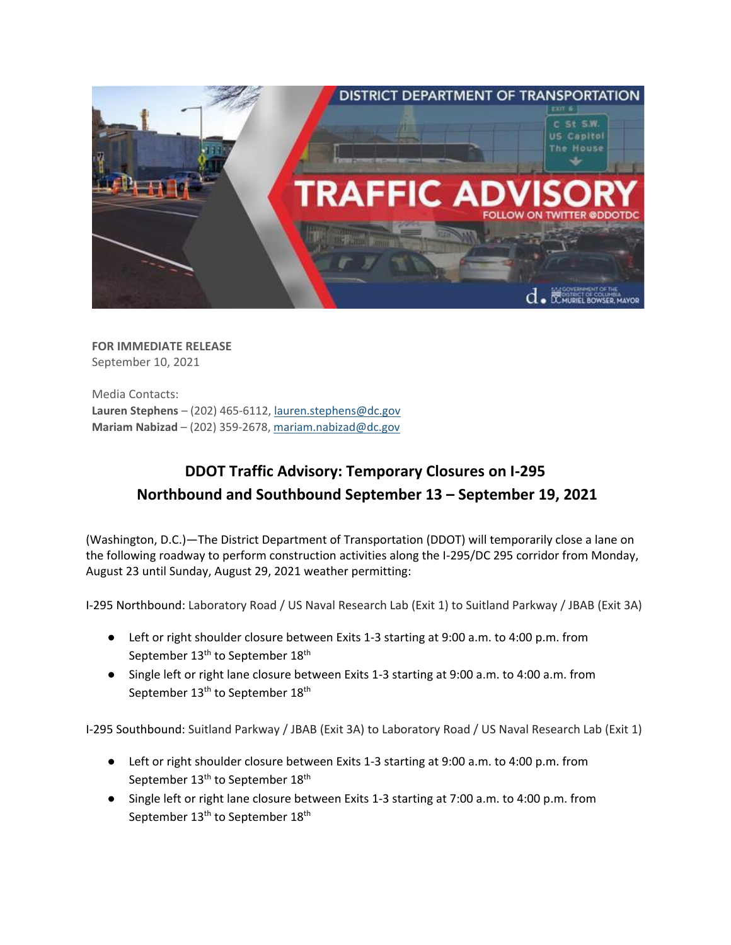

**FOR IMMEDIATE RELEASE** September 10, 2021

Media Contacts: **Lauren Stephens** – (202) 465-6112[, lauren.stephens@dc.gov](mailto:lauren.stephens@dc.gov) **Mariam Nabizad** – (202) 359-2678, [mariam.nabizad@dc.gov](mailto:mariam.nabizad@dc.gov)

## **DDOT Traffic Advisory: Temporary Closures on I-295 Northbound and Southbound September 13 – September 19, 2021**

(Washington, D.C.)—The District Department of Transportation (DDOT) will temporarily close a lane on the following roadway to perform construction activities along the I-295/DC 295 corridor from Monday, August 23 until Sunday, August 29, 2021 weather permitting:

I-295 Northbound: Laboratory Road / US Naval Research Lab (Exit 1) to Suitland Parkway / JBAB (Exit 3A)

- Left or right shoulder closure between Exits 1-3 starting at 9:00 a.m. to 4:00 p.m. from September 13<sup>th</sup> to September 18<sup>th</sup>
- Single left or right lane closure between Exits 1-3 starting at 9:00 a.m. to 4:00 a.m. from September 13<sup>th</sup> to September 18<sup>th</sup>

I-295 Southbound: Suitland Parkway / JBAB (Exit 3A) to Laboratory Road / US Naval Research Lab (Exit 1)

- Left or right shoulder closure between Exits 1-3 starting at 9:00 a.m. to 4:00 p.m. from September 13<sup>th</sup> to September 18<sup>th</sup>
- Single left or right lane closure between Exits 1-3 starting at 7:00 a.m. to 4:00 p.m. from September 13<sup>th</sup> to September 18<sup>th</sup>